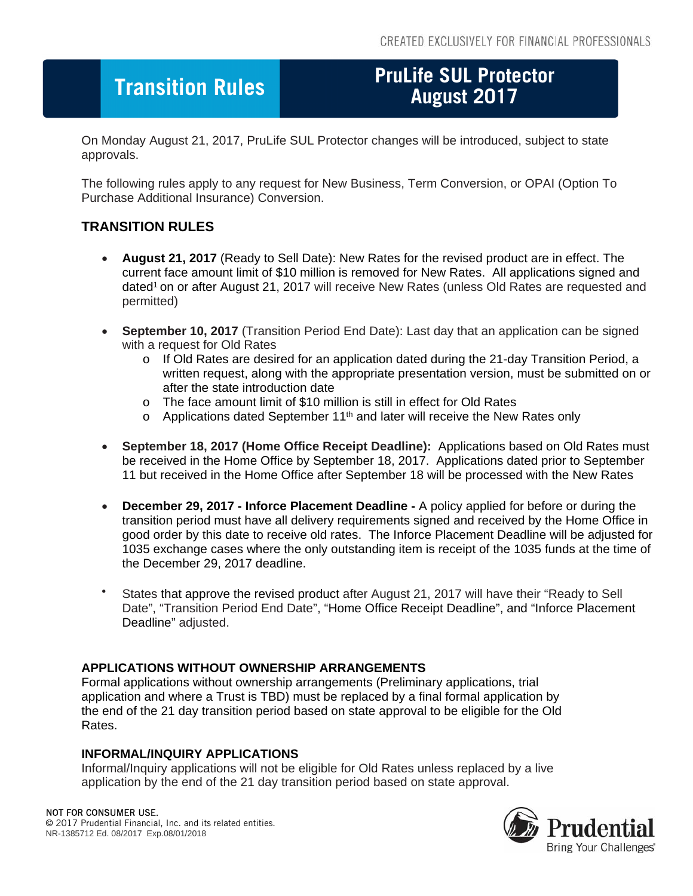# **Transition Rules**

# **PruLife SUL Protector**

On Monday August 21, 2017, PruLife SUL Protector changes will be introduced, subject to state approvals.

The following rules apply to any request for New Business, Term Conversion, or OPAI (Option To Purchase Additional Insurance) Conversion.

## **TRANSITION RULES**

- **August 21, 2017** (Ready to Sell Date): New Rates for the revised product are in effect. The current face amount limit of \$10 million is removed for New Rates. All applications signed and dated<sup>1</sup> on or after August 21, 2017 will receive New Rates (unless Old Rates are requested and permitted)
- **September 10, 2017** (Transition Period End Date): Last day that an application can be signed with a request for Old Rates
	- o If Old Rates are desired for an application dated during the 21-day Transition Period, a written request, along with the appropriate presentation version, must be submitted on or after the state introduction date
	- o The face amount limit of \$10 million is still in effect for Old Rates
	- $\circ$  Applications dated September 11<sup>th</sup> and later will receive the New Rates only
- **September 18, 2017 (Home Office Receipt Deadline):** Applications based on Old Rates must be received in the Home Office by September 18, 2017. Applications dated prior to September 11 but received in the Home Office after September 18 will be processed with the New Rates
- **December 29, 2017 Inforce Placement Deadline** A policy applied for before or during the transition period must have all delivery requirements signed and received by the Home Office in good order by this date to receive old rates. The Inforce Placement Deadline will be adjusted for 1035 exchange cases where the only outstanding item is receipt of the 1035 funds at the time of the December 29, 2017 deadline.
- States that approve the revised product after August 21, 2017 will have their "Ready to Sell Date", "Transition Period End Date", "Home Office Receipt Deadline", and "Inforce Placement Deadline" adjusted.

### **APPLICATIONS WITHOUT OWNERSHIP ARRANGEMENTS**

Formal applications without ownership arrangements (Preliminary applications, trial application and where a Trust is TBD) must be replaced by a final formal application by the end of the 21 day transition period based on state approval to be eligible for the Old Rates.

#### **INFORMAL/INQUIRY APPLICATIONS**

Informal/Inquiry applications will not be eligible for Old Rates unless replaced by a live application by the end of the 21 day transition period based on state approval.

#### NOT FOR CONSUMER USE.

© 2017 Prudential Financial, Inc. and its related entities. NR-1385712 Ed. 08/2017 Exp.08/01/2018